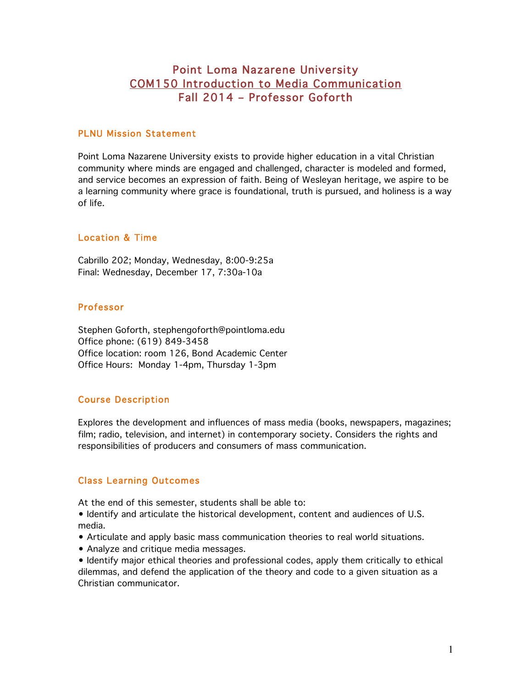# Point Loma Nazarene University COM150 Introduction to Media Communication Fall 2014 – Professor Goforth

#### PLNU Mission Statement

Point Loma Nazarene University exists to provide higher education in a vital Christian community where minds are engaged and challenged, character is modeled and formed, and service becomes an expression of faith. Being of Wesleyan heritage, we aspire to be a learning community where grace is foundational, truth is pursued, and holiness is a way of life.

## Location & Time

Cabrillo 202; Monday, Wednesday, 8:00-9:25a Final: Wednesday, December 17, 7:30a-10a

#### Professor

Stephen Goforth, stephengoforth@pointloma.edu Office phone: (619) 849-3458 Office location: room 126, Bond Academic Center Office Hours: Monday 1-4pm, Thursday 1-3pm

# Course Description

Explores the development and influences of mass media (books, newspapers, magazines; film; radio, television, and internet) in contemporary society. Considers the rights and responsibilities of producers and consumers of mass communication.

#### Class Learning Outcomes

At the end of this semester, students shall be able to:

• Identify and articulate the historical development, content and audiences of U.S. media.

- Articulate and apply basic mass communication theories to real world situations.
- Analyze and critique media messages.

• Identify major ethical theories and professional codes, apply them critically to ethical dilemmas, and defend the application of the theory and code to a given situation as a Christian communicator.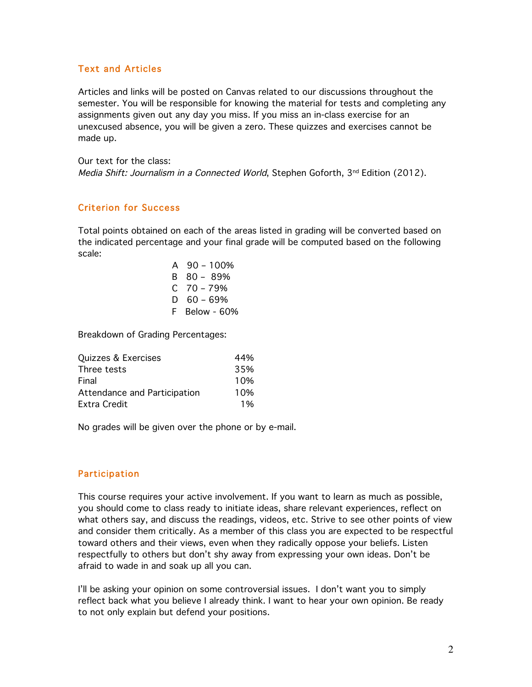## Text and Articles

Articles and links will be posted on Canvas related to our discussions throughout the semester. You will be responsible for knowing the material for tests and completing any assignments given out any day you miss. If you miss an in-class exercise for an unexcused absence, you will be given a zero. These quizzes and exercises cannot be made up.

Our text for the class: Media Shift: Journalism in a Connected World, Stephen Goforth,  $3^{nd}$  Edition (2012).

## Criterion for Success

Total points obtained on each of the areas listed in grading will be converted based on the indicated percentage and your final grade will be computed based on the following scale:

| A  | 90 – 100%          |
|----|--------------------|
| B  | 80 - 89%           |
| C  | 70 - 79%           |
| D  | $60 - 69%$         |
| F. | <b>Below - 60%</b> |

Breakdown of Grading Percentages:

| Quizzes & Exercises          | 44% |
|------------------------------|-----|
| Three tests                  | 35% |
| Final                        | 10% |
| Attendance and Participation | 10% |
| Extra Credit                 | 1%  |

No grades will be given over the phone or by e-mail.

#### Participation

This course requires your active involvement. If you want to learn as much as possible, you should come to class ready to initiate ideas, share relevant experiences, reflect on what others say, and discuss the readings, videos, etc. Strive to see other points of view and consider them critically. As a member of this class you are expected to be respectful toward others and their views, even when they radically oppose your beliefs. Listen respectfully to others but don't shy away from expressing your own ideas. Don't be afraid to wade in and soak up all you can.

I'll be asking your opinion on some controversial issues. I don't want you to simply reflect back what you believe I already think. I want to hear your own opinion. Be ready to not only explain but defend your positions.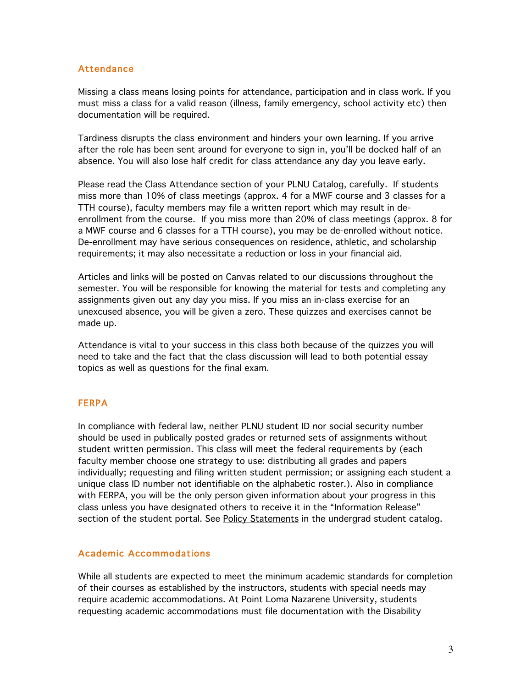#### Attendance

Missing a class means losing points for attendance, participation and in class work. If you must miss a class for a valid reason (illness, family emergency, school activity etc) then documentation will be required.

Tardiness disrupts the class environment and hinders your own learning. If you arrive after the role has been sent around for everyone to sign in, you'll be docked half of an absence. You will also lose half credit for class attendance any day you leave early.

Please read the Class Attendance section of your PLNU Catalog, carefully. If students miss more than 10% of class meetings (approx. 4 for a MWF course and 3 classes for a TTH course), faculty members may file a written report which may result in deenrollment from the course. If you miss more than 20% of class meetings (approx. 8 for a MWF course and 6 classes for a TTH course), you may be de-enrolled without notice. De-enrollment may have serious consequences on residence, athletic, and scholarship requirements; it may also necessitate a reduction or loss in your financial aid.

Articles and links will be posted on Canvas related to our discussions throughout the semester. You will be responsible for knowing the material for tests and completing any assignments given out any day you miss. If you miss an in-class exercise for an unexcused absence, you will be given a zero. These quizzes and exercises cannot be made up.

Attendance is vital to your success in this class both because of the quizzes you will need to take and the fact that the class discussion will lead to both potential essay topics as well as questions for the final exam.

#### FERPA

In compliance with federal law, neither PLNU student ID nor social security number should be used in publically posted grades or returned sets of assignments without student written permission. This class will meet the federal requirements by (each faculty member choose one strategy to use: distributing all grades and papers individually; requesting and filing written student permission; or assigning each student a unique class ID number not identifiable on the alphabetic roster.). Also in compliance with FERPA, you will be the only person given information about your progress in this class unless you have designated others to receive it in the "Information Release" section of the student portal. See Policy Statements in the undergrad student catalog.

#### Academic Accommodations

While all students are expected to meet the minimum academic standards for completion of their courses as established by the instructors, students with special needs may require academic accommodations. At Point Loma Nazarene University, students requesting academic accommodations must file documentation with the Disability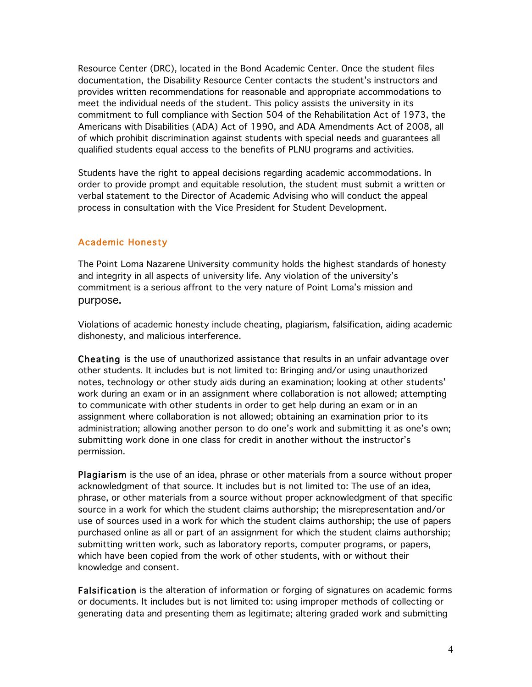Resource Center (DRC), located in the Bond Academic Center. Once the student files documentation, the Disability Resource Center contacts the student's instructors and provides written recommendations for reasonable and appropriate accommodations to meet the individual needs of the student. This policy assists the university in its commitment to full compliance with Section 504 of the Rehabilitation Act of 1973, the Americans with Disabilities (ADA) Act of 1990, and ADA Amendments Act of 2008, all of which prohibit discrimination against students with special needs and guarantees all qualified students equal access to the benefits of PLNU programs and activities.

Students have the right to appeal decisions regarding academic accommodations. In order to provide prompt and equitable resolution, the student must submit a written or verbal statement to the Director of Academic Advising who will conduct the appeal process in consultation with the Vice President for Student Development.

## Academic Honesty

The Point Loma Nazarene University community holds the highest standards of honesty and integrity in all aspects of university life. Any violation of the university's commitment is a serious affront to the very nature of Point Loma's mission and purpose.

Violations of academic honesty include cheating, plagiarism, falsification, aiding academic dishonesty, and malicious interference.

Cheating is the use of unauthorized assistance that results in an unfair advantage over other students. It includes but is not limited to: Bringing and/or using unauthorized notes, technology or other study aids during an examination; looking at other students' work during an exam or in an assignment where collaboration is not allowed; attempting to communicate with other students in order to get help during an exam or in an assignment where collaboration is not allowed; obtaining an examination prior to its administration; allowing another person to do one's work and submitting it as one's own; submitting work done in one class for credit in another without the instructor's permission.

Plagiarism is the use of an idea, phrase or other materials from a source without proper acknowledgment of that source. It includes but is not limited to: The use of an idea, phrase, or other materials from a source without proper acknowledgment of that specific source in a work for which the student claims authorship; the misrepresentation and/or use of sources used in a work for which the student claims authorship; the use of papers purchased online as all or part of an assignment for which the student claims authorship; submitting written work, such as laboratory reports, computer programs, or papers, which have been copied from the work of other students, with or without their knowledge and consent.

Falsification is the alteration of information or forging of signatures on academic forms or documents. It includes but is not limited to: using improper methods of collecting or generating data and presenting them as legitimate; altering graded work and submitting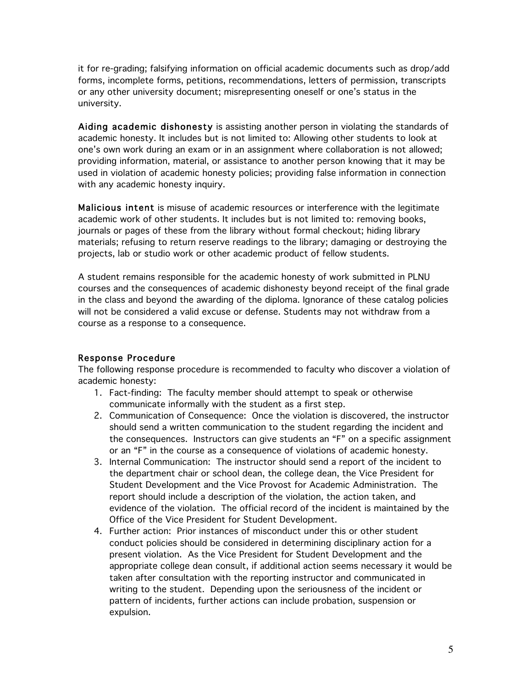it for re-grading; falsifying information on official academic documents such as drop/add forms, incomplete forms, petitions, recommendations, letters of permission, transcripts or any other university document; misrepresenting oneself or one's status in the university.

Aiding academic dishonesty is assisting another person in violating the standards of academic honesty. It includes but is not limited to: Allowing other students to look at one's own work during an exam or in an assignment where collaboration is not allowed; providing information, material, or assistance to another person knowing that it may be used in violation of academic honesty policies; providing false information in connection with any academic honesty inquiry.

Malicious intent is misuse of academic resources or interference with the legitimate academic work of other students. It includes but is not limited to: removing books, journals or pages of these from the library without formal checkout; hiding library materials; refusing to return reserve readings to the library; damaging or destroying the projects, lab or studio work or other academic product of fellow students.

A student remains responsible for the academic honesty of work submitted in PLNU courses and the consequences of academic dishonesty beyond receipt of the final grade in the class and beyond the awarding of the diploma. Ignorance of these catalog policies will not be considered a valid excuse or defense. Students may not withdraw from a course as a response to a consequence.

#### Response Procedure

The following response procedure is recommended to faculty who discover a violation of academic honesty:

- 1. Fact-finding: The faculty member should attempt to speak or otherwise communicate informally with the student as a first step.
- 2. Communication of Consequence: Once the violation is discovered, the instructor should send a written communication to the student regarding the incident and the consequences. Instructors can give students an "F" on a specific assignment or an "F" in the course as a consequence of violations of academic honesty.
- 3. Internal Communication: The instructor should send a report of the incident to the department chair or school dean, the college dean, the Vice President for Student Development and the Vice Provost for Academic Administration. The report should include a description of the violation, the action taken, and evidence of the violation. The official record of the incident is maintained by the Office of the Vice President for Student Development.
- 4. Further action: Prior instances of misconduct under this or other student conduct policies should be considered in determining disciplinary action for a present violation. As the Vice President for Student Development and the appropriate college dean consult, if additional action seems necessary it would be taken after consultation with the reporting instructor and communicated in writing to the student. Depending upon the seriousness of the incident or pattern of incidents, further actions can include probation, suspension or expulsion.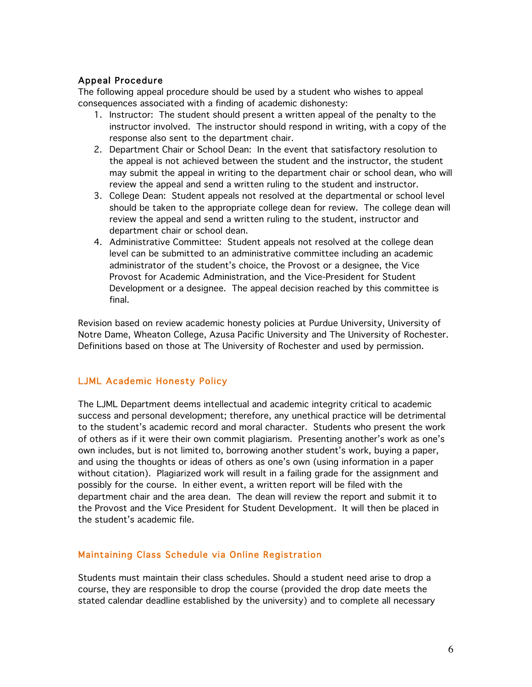## Appeal Procedure

The following appeal procedure should be used by a student who wishes to appeal consequences associated with a finding of academic dishonesty:

- 1. Instructor: The student should present a written appeal of the penalty to the instructor involved. The instructor should respond in writing, with a copy of the response also sent to the department chair.
- 2. Department Chair or School Dean: In the event that satisfactory resolution to the appeal is not achieved between the student and the instructor, the student may submit the appeal in writing to the department chair or school dean, who will review the appeal and send a written ruling to the student and instructor.
- 3. College Dean: Student appeals not resolved at the departmental or school level should be taken to the appropriate college dean for review. The college dean will review the appeal and send a written ruling to the student, instructor and department chair or school dean.
- 4. Administrative Committee: Student appeals not resolved at the college dean level can be submitted to an administrative committee including an academic administrator of the student's choice, the Provost or a designee, the Vice Provost for Academic Administration, and the Vice-President for Student Development or a designee. The appeal decision reached by this committee is final.

Revision based on review academic honesty policies at Purdue University, University of Notre Dame, Wheaton College, Azusa Pacific University and The University of Rochester. Definitions based on those at The University of Rochester and used by permission.

#### LJML Academic Honesty Policy

The LJML Department deems intellectual and academic integrity critical to academic success and personal development; therefore, any unethical practice will be detrimental to the student's academic record and moral character. Students who present the work of others as if it were their own commit plagiarism. Presenting another's work as one's own includes, but is not limited to, borrowing another student's work, buying a paper, and using the thoughts or ideas of others as one's own (using information in a paper without citation). Plagiarized work will result in a failing grade for the assignment and possibly for the course. In either event, a written report will be filed with the department chair and the area dean. The dean will review the report and submit it to the Provost and the Vice President for Student Development. It will then be placed in the student's academic file.

# Maintaining Class Schedule via Online Registration

Students must maintain their class schedules. Should a student need arise to drop a course, they are responsible to drop the course (provided the drop date meets the stated calendar deadline established by the university) and to complete all necessary